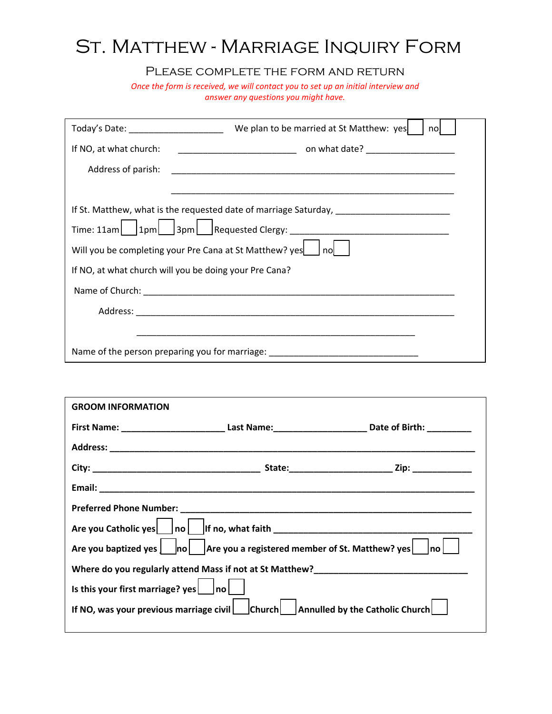## ST. MATTHEW - MARRIAGE INQUIRY FORM

## PLEASE COMPLETE THE FORM AND RETURN

*Once the form is received, we will contact you to set up an initial interview and answer any questions you might have.*

|                                                                                                                                                                                                                               | nol |  |  |  |
|-------------------------------------------------------------------------------------------------------------------------------------------------------------------------------------------------------------------------------|-----|--|--|--|
| If NO, at what church:                                                                                                                                                                                                        |     |  |  |  |
| Address of parish:                                                                                                                                                                                                            |     |  |  |  |
|                                                                                                                                                                                                                               |     |  |  |  |
|                                                                                                                                                                                                                               |     |  |  |  |
|                                                                                                                                                                                                                               |     |  |  |  |
| Will you be completing your Pre Cana at St Matthew? yes     no                                                                                                                                                                |     |  |  |  |
| If NO, at what church will you be doing your Pre Cana?                                                                                                                                                                        |     |  |  |  |
|                                                                                                                                                                                                                               |     |  |  |  |
|                                                                                                                                                                                                                               |     |  |  |  |
|                                                                                                                                                                                                                               |     |  |  |  |
| Name of the person preparing you for marriage: entitled and the control of the control of the control of the control of the control of the control of the control of the control of the control of the control of the control |     |  |  |  |

| <b>GROOM INFORMATION</b>                                                                                                                   |  |                                                                                                           |  |  |  |
|--------------------------------------------------------------------------------------------------------------------------------------------|--|-----------------------------------------------------------------------------------------------------------|--|--|--|
|                                                                                                                                            |  | First Name: ______________________________Last Name:___________________________Date of Birth: ___________ |  |  |  |
|                                                                                                                                            |  |                                                                                                           |  |  |  |
|                                                                                                                                            |  |                                                                                                           |  |  |  |
|                                                                                                                                            |  |                                                                                                           |  |  |  |
|                                                                                                                                            |  |                                                                                                           |  |  |  |
|                                                                                                                                            |  |                                                                                                           |  |  |  |
| Are you baptized yes $\vert$ $\vert$ no $\vert$ $\vert$ Are you a registered member of St. Matthew? yes $\vert$ $\vert$ no $\vert$ $\vert$ |  |                                                                                                           |  |  |  |
|                                                                                                                                            |  |                                                                                                           |  |  |  |
| Is this your first marriage? yes $ $ no $ $                                                                                                |  |                                                                                                           |  |  |  |
| If NO, was your previous marriage civil $\vert$ church $\vert$ Annulled by the Catholic Church $\vert$                                     |  |                                                                                                           |  |  |  |
|                                                                                                                                            |  |                                                                                                           |  |  |  |